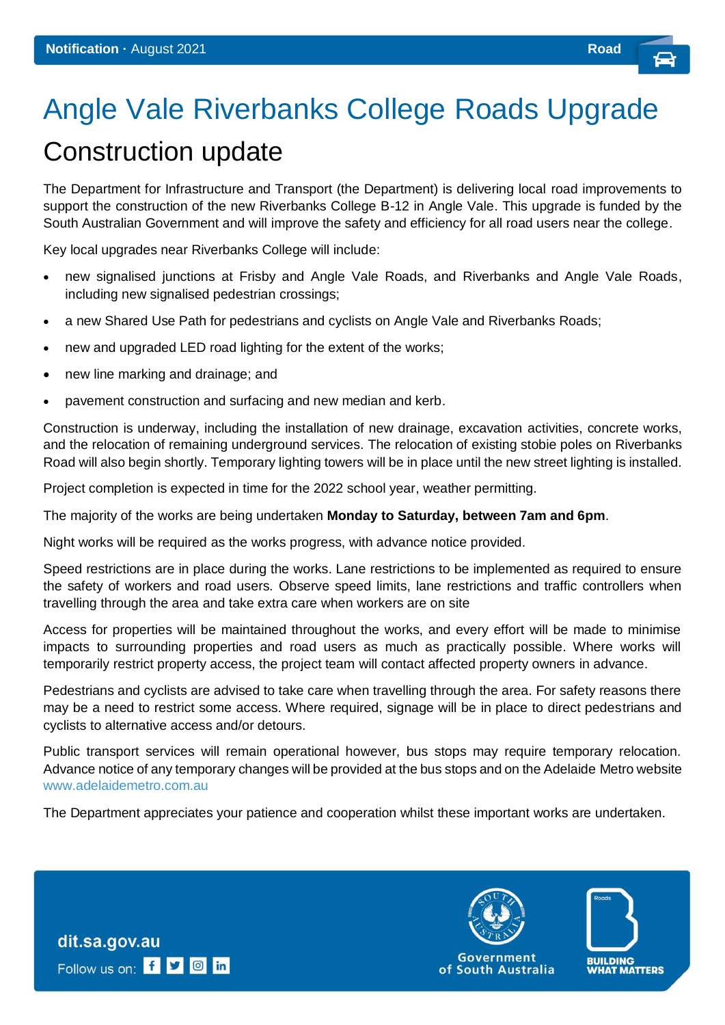## Angle Vale Riverbanks College Roads Upgrade Construction update

The Department for Infrastructure and Transport (the Department) is delivering local road improvements to support the construction of the new Riverbanks College B-12 in Angle Vale. This upgrade is funded by the South Australian Government and will improve the safety and efficiency for all road users near the college.

Key local upgrades near Riverbanks College will include:

- new signalised junctions at Frisby and Angle Vale Roads, and Riverbanks and Angle Vale Roads, including new signalised pedestrian crossings;
- a new Shared Use Path for pedestrians and cyclists on Angle Vale and Riverbanks Roads;
- new and upgraded LED road lighting for the extent of the works;
- new line marking and drainage; and
- pavement construction and surfacing and new median and kerb.

Construction is underway, including the installation of new drainage, excavation activities, concrete works, and the relocation of remaining underground services. The relocation of existing stobie poles on Riverbanks Road will also begin shortly. Temporary lighting towers will be in place until the new street lighting is installed.

Project completion is expected in time for the 2022 school year, weather permitting.

The majority of the works are being undertaken **Monday to Saturday, between 7am and 6pm**.

Night works will be required as the works progress, with advance notice provided.

Speed restrictions are in place during the works. Lane restrictions to be implemented as required to ensure the safety of workers and road users. Observe speed limits, lane restrictions and traffic controllers when travelling through the area and take extra care when workers are on site

Access for properties will be maintained throughout the works, and every effort will be made to minimise impacts to surrounding properties and road users as much as practically possible. Where works will temporarily restrict property access, the project team will contact affected property owners in advance.

Pedestrians and cyclists are advised to take care when travelling through the area. For safety reasons there may be a need to restrict some access. Where required, signage will be in place to direct pedestrians and cyclists to alternative access and/or detours.

Public transport services will remain operational however, bus stops may require temporary relocation. Advance notice of any temporary changes will be provided at the bus stops and on the Adelaide Metro website [www.adelaidemetro.com.au](http://www.adelaidemetro.com.au/)

The Department appreciates your patience and cooperation whilst these important works are undertaken.